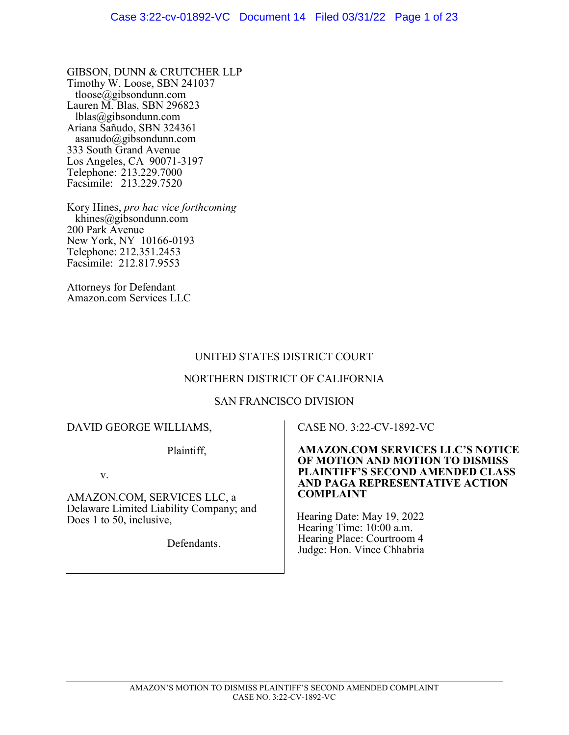GIBSON, DUNN & CRUTCHER LLP Timothy W. Loose, SBN 241037 tloose@gibsondunn.com Lauren M. Blas, SBN 296823 lblas@gibsondunn.com Ariana Sañudo, SBN 324361 asanudo@gibsondunn.com 333 South Grand Avenue Los Angeles, CA 90071-3197 Telephone: 213.229.7000 Facsimile: 213.229.7520

Kory Hines, pro hac vice forthcoming khines@gibsondunn.com 200 Park Avenue New York, NY 10166-0193 Telephone: 212.351.2453 Facsimile: 212.817.9553

Attorneys for Defendant Amazon.com Services LLC

## UNITED STATES DISTRICT COURT

## NORTHERN DISTRICT OF CALIFORNIA

#### SAN FRANCISCO DIVISION

### DAVID GEORGE WILLIAMS,

Plaintiff,

v.

AMAZON.COM, SERVICES LLC, a Delaware Limited Liability Company; and Does 1 to 50, inclusive,

Defendants.

## CASE NO. 3:22-CV-1892-VC

#### AMAZON.COM SERVICES LLC'S NOTICE OF MOTION AND MOTION TO DISMISS PLAINTIFF'S SECOND AMENDED CLASS AND PAGA REPRESENTATIVE ACTION COMPLAINT

 Hearing Date: May 19, 2022 Hearing Time: 10:00 a.m. Hearing Place: Courtroom 4 Judge: Hon. Vince Chhabria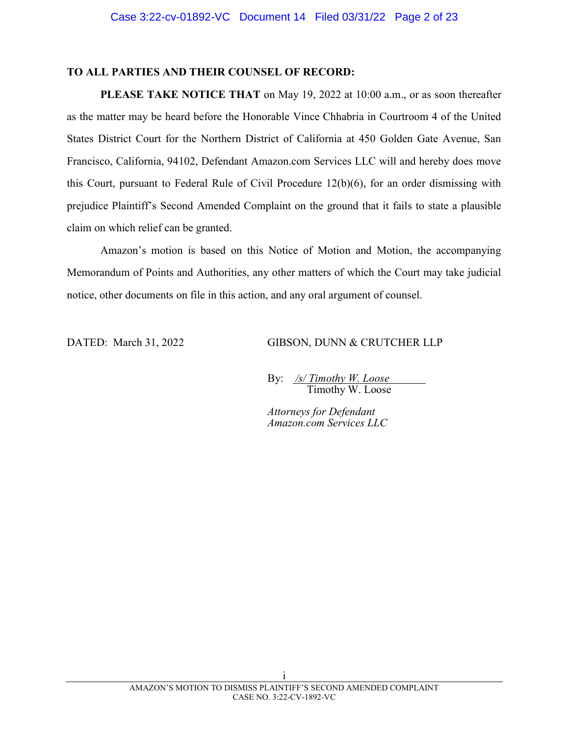## TO ALL PARTIES AND THEIR COUNSEL OF RECORD:

PLEASE TAKE NOTICE THAT on May 19, 2022 at 10:00 a.m., or as soon thereafter as the matter may be heard before the Honorable Vince Chhabria in Courtroom 4 of the United States District Court for the Northern District of California at 450 Golden Gate Avenue, San Francisco, California, 94102, Defendant Amazon.com Services LLC will and hereby does move this Court, pursuant to Federal Rule of Civil Procedure 12(b)(6), for an order dismissing with prejudice Plaintiff's Second Amended Complaint on the ground that it fails to state a plausible claim on which relief can be granted.

Amazon's motion is based on this Notice of Motion and Motion, the accompanying Memorandum of Points and Authorities, any other matters of which the Court may take judicial notice, other documents on file in this action, and any oral argument of counsel.

DATED: March 31, 2022 GIBSON, DUNN & CRUTCHER LLP

By:  $\sqrt{s}$  Timothy W. Loose Timothy W. Loose

Attorneys for Defendant Amazon.com Services LLC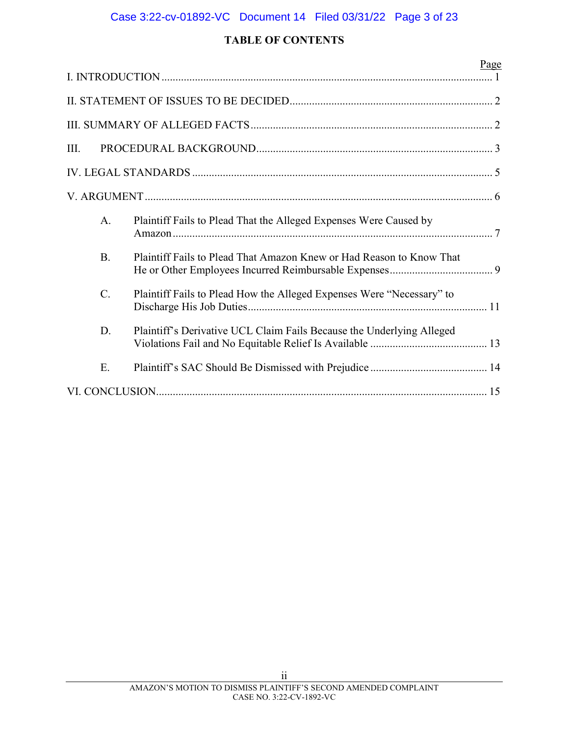# Case 3:22-cv-01892-VC Document 14 Filed 03/31/22 Page 3 of 23

## TABLE OF CONTENTS

|      |           | Page                                                                  |  |  |  |
|------|-----------|-----------------------------------------------------------------------|--|--|--|
|      |           |                                                                       |  |  |  |
|      |           |                                                                       |  |  |  |
| III. |           |                                                                       |  |  |  |
|      |           |                                                                       |  |  |  |
|      |           |                                                                       |  |  |  |
|      | A.        | Plaintiff Fails to Plead That the Alleged Expenses Were Caused by     |  |  |  |
|      | <b>B.</b> | Plaintiff Fails to Plead That Amazon Knew or Had Reason to Know That  |  |  |  |
|      | $C$ .     | Plaintiff Fails to Plead How the Alleged Expenses Were "Necessary" to |  |  |  |
|      | D.        | Plaintiff's Derivative UCL Claim Fails Because the Underlying Alleged |  |  |  |
|      | Ε.        |                                                                       |  |  |  |
|      |           |                                                                       |  |  |  |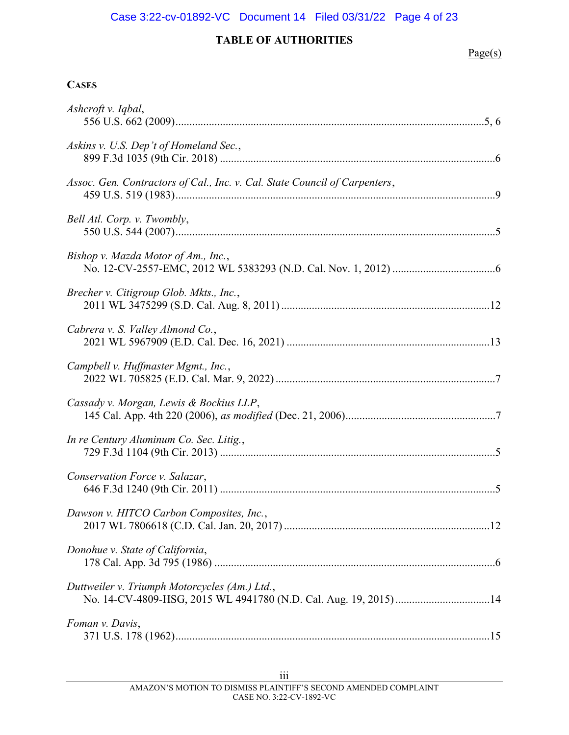# Case 3:22-cv-01892-VC Document 14 Filed 03/31/22 Page 4 of 23

## TABLE OF AUTHORITIES

## $Page(s)$

### **CASES**

| Ashcroft v. Iqbal,                                                         |
|----------------------------------------------------------------------------|
| Askins v. U.S. Dep't of Homeland Sec.,                                     |
| Assoc. Gen. Contractors of Cal., Inc. v. Cal. State Council of Carpenters, |
| Bell Atl. Corp. v. Twombly,                                                |
| Bishop v. Mazda Motor of Am., Inc.,                                        |
| Brecher v. Citigroup Glob. Mkts., Inc.,                                    |
| Cabrera v. S. Valley Almond Co.,                                           |
| Campbell v. Huffmaster Mgmt., Inc.,                                        |
| Cassady v. Morgan, Lewis & Bockius LLP,                                    |
| In re Century Aluminum Co. Sec. Litig.,                                    |
| Conservation Force v. Salazar,                                             |
| Dawson v. HITCO Carbon Composites, Inc.,                                   |
| Donohue v. State of California,                                            |
| Duttweiler v. Triumph Motorcycles (Am.) Ltd.,                              |
| Foman v. Davis,                                                            |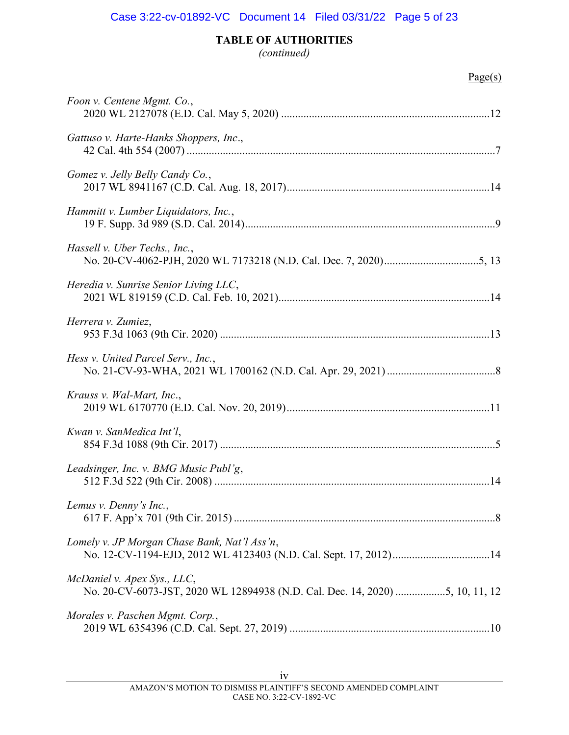## TABLE OF AUTHORITIES

(continued)

## Page(s)

| Foon v. Centene Mgmt. Co.,                                                                                  |
|-------------------------------------------------------------------------------------------------------------|
| Gattuso v. Harte-Hanks Shoppers, Inc.,                                                                      |
| Gomez v. Jelly Belly Candy Co.,                                                                             |
| Hammitt v. Lumber Liquidators, Inc.,                                                                        |
| Hassell v. Uber Techs., Inc.,                                                                               |
| Heredia v. Sunrise Senior Living LLC,                                                                       |
| Herrera v. Zumiez,                                                                                          |
| Hess v. United Parcel Serv., Inc.,                                                                          |
| Krauss v. Wal-Mart, Inc.,                                                                                   |
| Kwan v. SanMedica Int'l,                                                                                    |
| Leadsinger, Inc. v. BMG Music Publ'g,                                                                       |
| Lemus v. Denny's Inc.,                                                                                      |
| Lomely v. JP Morgan Chase Bank, Nat'l Ass'n,                                                                |
| McDaniel v. Apex Sys., LLC,<br>No. 20-CV-6073-JST, 2020 WL 12894938 (N.D. Cal. Dec. 14, 2020) 5, 10, 11, 12 |
| Morales v. Paschen Mgmt. Corp.,                                                                             |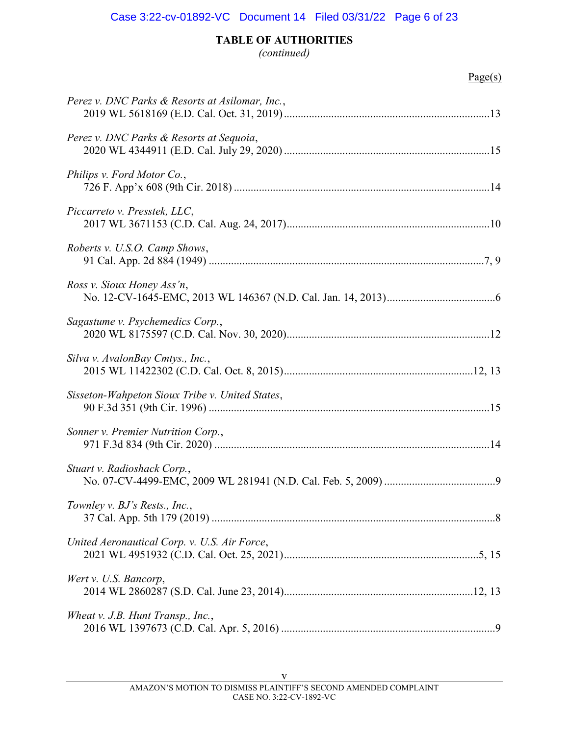## TABLE OF AUTHORITIES

(continued)

## Page(s)

| Perez v. DNC Parks & Resorts at Asilomar, Inc., |
|-------------------------------------------------|
| Perez v. DNC Parks & Resorts at Sequoia,        |
| Philips v. Ford Motor Co.,                      |
| Piccarreto v. Presstek, LLC,                    |
| Roberts v. U.S.O. Camp Shows,                   |
| Ross v. Sioux Honey Ass'n,                      |
| Sagastume v. Psychemedics Corp.,                |
| Silva v. AvalonBay Cmtys., Inc.,                |
| Sisseton-Wahpeton Sioux Tribe v. United States, |
| Sonner v. Premier Nutrition Corp.,              |
| Stuart v. Radioshack Corp.,                     |
| Townley v. BJ's Rests., Inc.,                   |
| United Aeronautical Corp. v. U.S. Air Force,    |
| Wert v. U.S. Bancorp,                           |
| Wheat v. J.B. Hunt Transp., Inc.,               |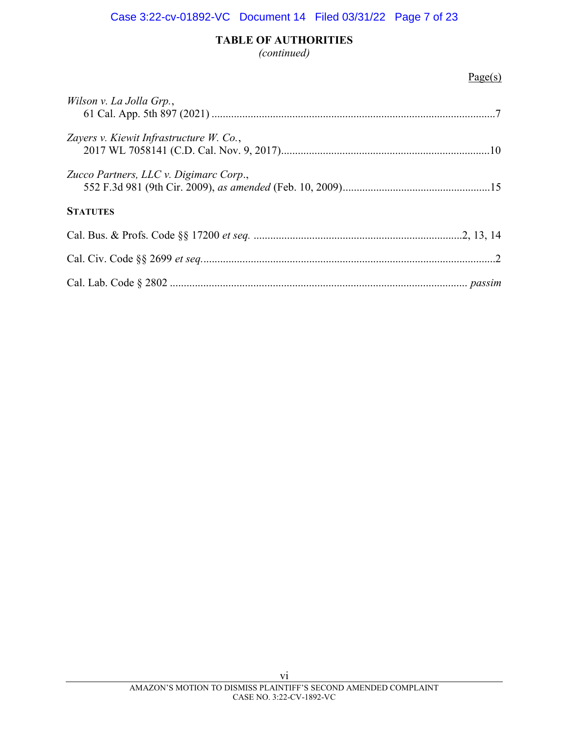# TABLE OF AUTHORITIES

(continued)

## Page(s)

| Wilson v. La Jolla Grp.,                |
|-----------------------------------------|
| Zayers v. Kiewit Infrastructure W. Co., |
| Zucco Partners, LLC v. Digimarc Corp.,  |
| <b>STATUTES</b>                         |
|                                         |
|                                         |
|                                         |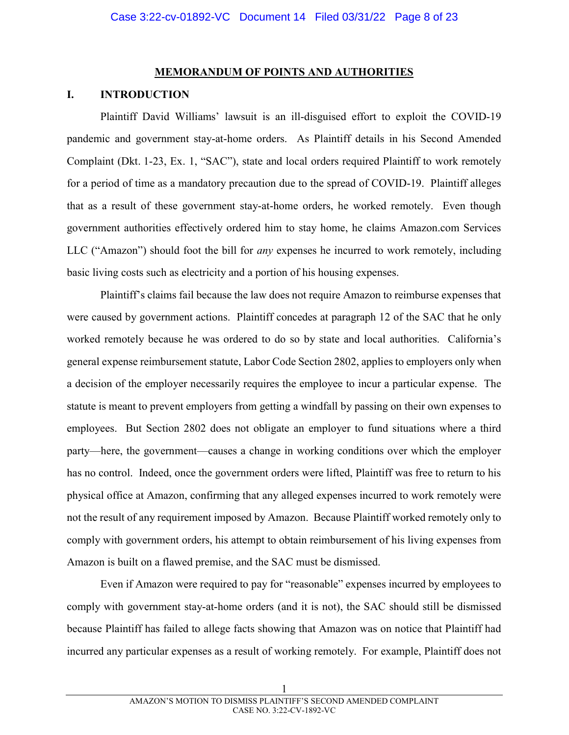#### MEMORANDUM OF POINTS AND AUTHORITIES

## I. INTRODUCTION

Plaintiff David Williams' lawsuit is an ill-disguised effort to exploit the COVID-19 pandemic and government stay-at-home orders. As Plaintiff details in his Second Amended Complaint (Dkt. 1-23, Ex. 1, "SAC"), state and local orders required Plaintiff to work remotely for a period of time as a mandatory precaution due to the spread of COVID-19. Plaintiff alleges that as a result of these government stay-at-home orders, he worked remotely. Even though government authorities effectively ordered him to stay home, he claims Amazon.com Services LLC ("Amazon") should foot the bill for *any* expenses he incurred to work remotely, including basic living costs such as electricity and a portion of his housing expenses.

Plaintiff's claims fail because the law does not require Amazon to reimburse expenses that were caused by government actions. Plaintiff concedes at paragraph 12 of the SAC that he only worked remotely because he was ordered to do so by state and local authorities. California's general expense reimbursement statute, Labor Code Section 2802, applies to employers only when a decision of the employer necessarily requires the employee to incur a particular expense. The statute is meant to prevent employers from getting a windfall by passing on their own expenses to employees. But Section 2802 does not obligate an employer to fund situations where a third party—here, the government—causes a change in working conditions over which the employer has no control. Indeed, once the government orders were lifted, Plaintiff was free to return to his physical office at Amazon, confirming that any alleged expenses incurred to work remotely were not the result of any requirement imposed by Amazon. Because Plaintiff worked remotely only to comply with government orders, his attempt to obtain reimbursement of his living expenses from Amazon is built on a flawed premise, and the SAC must be dismissed.

Even if Amazon were required to pay for "reasonable" expenses incurred by employees to comply with government stay-at-home orders (and it is not), the SAC should still be dismissed because Plaintiff has failed to allege facts showing that Amazon was on notice that Plaintiff had incurred any particular expenses as a result of working remotely. For example, Plaintiff does not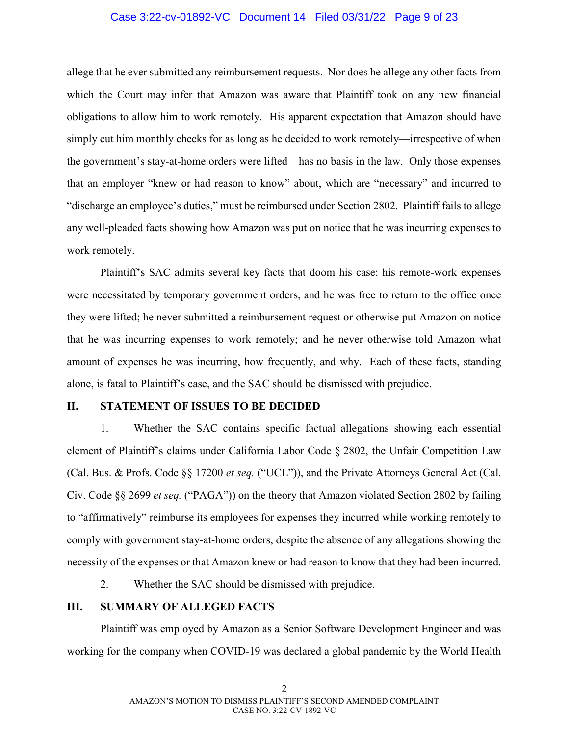## Case 3:22-cv-01892-VC Document 14 Filed 03/31/22 Page 9 of 23

allege that he ever submitted any reimbursement requests. Nor does he allege any other facts from which the Court may infer that Amazon was aware that Plaintiff took on any new financial obligations to allow him to work remotely. His apparent expectation that Amazon should have simply cut him monthly checks for as long as he decided to work remotely—irrespective of when the government's stay-at-home orders were lifted—has no basis in the law. Only those expenses that an employer "knew or had reason to know" about, which are "necessary" and incurred to "discharge an employee's duties," must be reimbursed under Section 2802. Plaintiff fails to allege any well-pleaded facts showing how Amazon was put on notice that he was incurring expenses to work remotely.

Plaintiff's SAC admits several key facts that doom his case: his remote-work expenses were necessitated by temporary government orders, and he was free to return to the office once they were lifted; he never submitted a reimbursement request or otherwise put Amazon on notice that he was incurring expenses to work remotely; and he never otherwise told Amazon what amount of expenses he was incurring, how frequently, and why. Each of these facts, standing alone, is fatal to Plaintiff's case, and the SAC should be dismissed with prejudice.

## II. STATEMENT OF ISSUES TO BE DECIDED

1. Whether the SAC contains specific factual allegations showing each essential element of Plaintiff's claims under California Labor Code § 2802, the Unfair Competition Law (Cal. Bus. & Profs. Code  $\S$  17200 *et seq.* ("UCL")), and the Private Attorneys General Act (Cal. Civ. Code  $\S$ § 2699 *et seq.* ("PAGA")) on the theory that Amazon violated Section 2802 by failing to "affirmatively" reimburse its employees for expenses they incurred while working remotely to comply with government stay-at-home orders, despite the absence of any allegations showing the necessity of the expenses or that Amazon knew or had reason to know that they had been incurred.

2. Whether the SAC should be dismissed with prejudice.

## III. SUMMARY OF ALLEGED FACTS

Plaintiff was employed by Amazon as a Senior Software Development Engineer and was working for the company when COVID-19 was declared a global pandemic by the World Health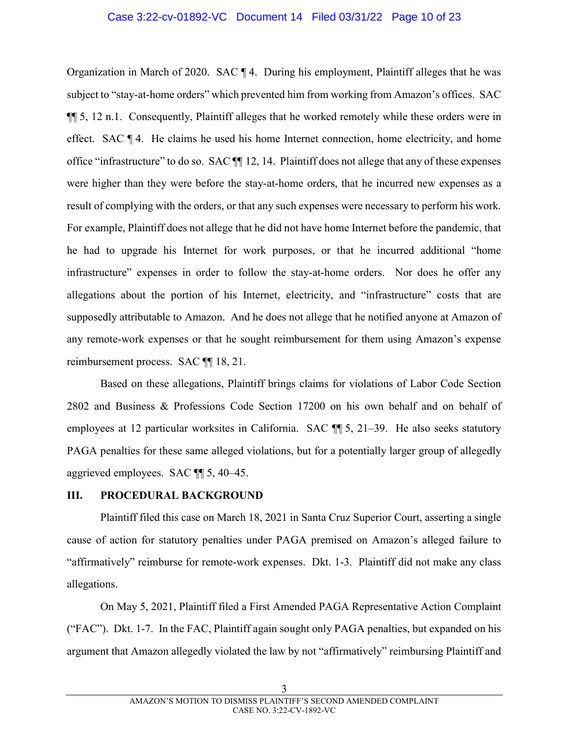### Case 3:22-cv-01892-VC Document 14 Filed 03/31/22 Page 10 of 23

Organization in March of 2020. SAC ¶ 4. During his employment, Plaintiff alleges that he was subject to "stay-at-home orders" which prevented him from working from Amazon's offices. SAC ¶¶ 5, 12 n.1. Consequently, Plaintiff alleges that he worked remotely while these orders were in effect. SAC ¶ 4. He claims he used his home Internet connection, home electricity, and home office "infrastructure" to do so. SAC ¶¶ 12, 14. Plaintiff does not allege that any of these expenses were higher than they were before the stay-at-home orders, that he incurred new expenses as a result of complying with the orders, or that any such expenses were necessary to perform his work. For example, Plaintiff does not allege that he did not have home Internet before the pandemic, that he had to upgrade his Internet for work purposes, or that he incurred additional "home infrastructure" expenses in order to follow the stay-at-home orders. Nor does he offer any allegations about the portion of his Internet, electricity, and "infrastructure" costs that are supposedly attributable to Amazon. And he does not allege that he notified anyone at Amazon of any remote-work expenses or that he sought reimbursement for them using Amazon's expense reimbursement process. SAC ¶¶ 18, 21.

Based on these allegations, Plaintiff brings claims for violations of Labor Code Section 2802 and Business & Professions Code Section 17200 on his own behalf and on behalf of employees at 12 particular worksites in California. SAC  $\P$  5, 21–39. He also seeks statutory PAGA penalties for these same alleged violations, but for a potentially larger group of allegedly aggrieved employees. SAC ¶¶ 5, 40–45.

## III. PROCEDURAL BACKGROUND

Plaintiff filed this case on March 18, 2021 in Santa Cruz Superior Court, asserting a single cause of action for statutory penalties under PAGA premised on Amazon's alleged failure to "affirmatively" reimburse for remote-work expenses. Dkt. 1-3. Plaintiff did not make any class allegations.

On May 5, 2021, Plaintiff filed a First Amended PAGA Representative Action Complaint ("FAC"). Dkt. 1-7. In the FAC, Plaintiff again sought only PAGA penalties, but expanded on his argument that Amazon allegedly violated the law by not "affirmatively" reimbursing Plaintiff and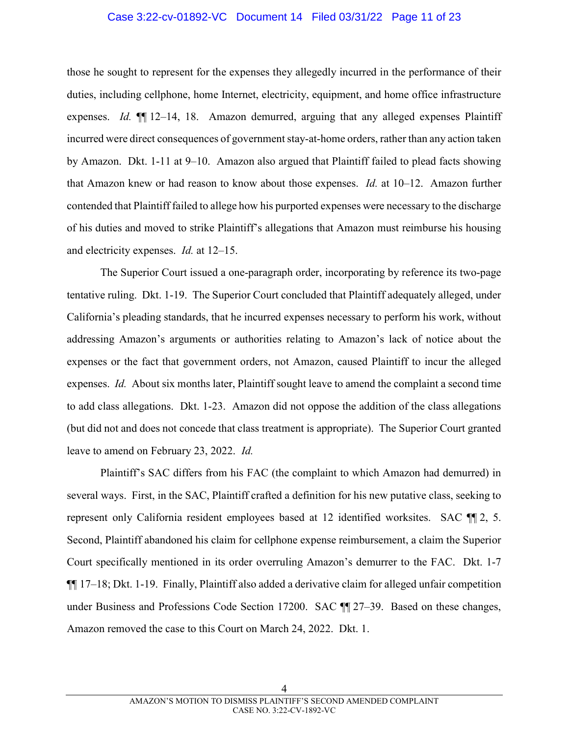#### Case 3:22-cv-01892-VC Document 14 Filed 03/31/22 Page 11 of 23

those he sought to represent for the expenses they allegedly incurred in the performance of their duties, including cellphone, home Internet, electricity, equipment, and home office infrastructure expenses. Id.  $\P$  12–14, 18. Amazon demurred, arguing that any alleged expenses Plaintiff incurred were direct consequences of government stay-at-home orders, rather than any action taken by Amazon. Dkt. 1-11 at 9–10. Amazon also argued that Plaintiff failed to plead facts showing that Amazon knew or had reason to know about those expenses. Id. at 10–12. Amazon further contended that Plaintiff failed to allege how his purported expenses were necessary to the discharge of his duties and moved to strike Plaintiff's allegations that Amazon must reimburse his housing and electricity expenses. Id. at 12–15.

The Superior Court issued a one-paragraph order, incorporating by reference its two-page tentative ruling. Dkt. 1-19. The Superior Court concluded that Plaintiff adequately alleged, under California's pleading standards, that he incurred expenses necessary to perform his work, without addressing Amazon's arguments or authorities relating to Amazon's lack of notice about the expenses or the fact that government orders, not Amazon, caused Plaintiff to incur the alleged expenses. Id. About six months later, Plaintiff sought leave to amend the complaint a second time to add class allegations. Dkt. 1-23. Amazon did not oppose the addition of the class allegations (but did not and does not concede that class treatment is appropriate). The Superior Court granted leave to amend on February 23, 2022. Id.

Plaintiff's SAC differs from his FAC (the complaint to which Amazon had demurred) in several ways. First, in the SAC, Plaintiff crafted a definition for his new putative class, seeking to represent only California resident employees based at 12 identified worksites. SAC  $\P$ [2, 5. Second, Plaintiff abandoned his claim for cellphone expense reimbursement, a claim the Superior Court specifically mentioned in its order overruling Amazon's demurrer to the FAC. Dkt. 1-7 ¶¶ 17–18; Dkt. 1-19. Finally, Plaintiff also added a derivative claim for alleged unfair competition under Business and Professions Code Section 17200. SAC ¶ 27–39. Based on these changes, Amazon removed the case to this Court on March 24, 2022. Dkt. 1.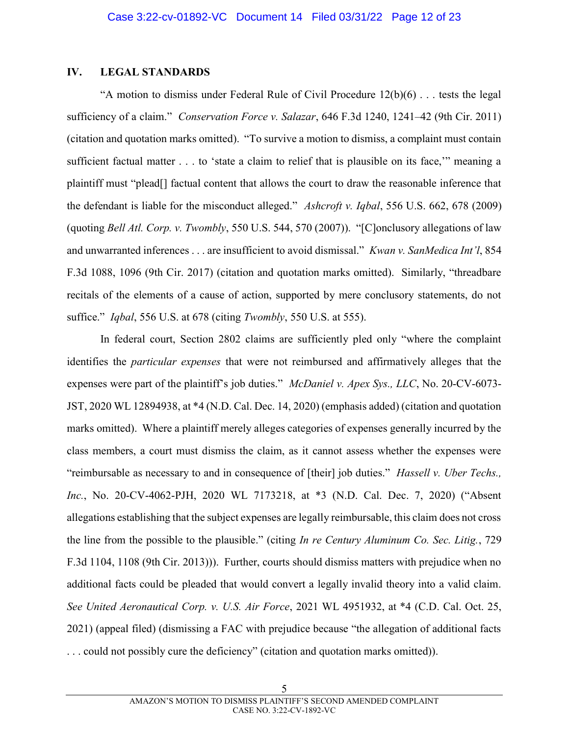### IV. LEGAL STANDARDS

"A motion to dismiss under Federal Rule of Civil Procedure  $12(b)(6)$ ... tests the legal sufficiency of a claim." Conservation Force v. Salazar, 646 F.3d 1240, 1241–42 (9th Cir. 2011) (citation and quotation marks omitted). "To survive a motion to dismiss, a complaint must contain sufficient factual matter . . . to 'state a claim to relief that is plausible on its face,'" meaning a plaintiff must "plead[] factual content that allows the court to draw the reasonable inference that the defendant is liable for the misconduct alleged." Ashcroft v. Iqbal, 556 U.S. 662, 678 (2009) (quoting Bell Atl. Corp. v. Twombly, 550 U.S. 544, 570 (2007)). "[C]onclusory allegations of law and unwarranted inferences . . . are insufficient to avoid dismissal." Kwan v. SanMedica Int'l, 854 F.3d 1088, 1096 (9th Cir. 2017) (citation and quotation marks omitted). Similarly, "threadbare recitals of the elements of a cause of action, supported by mere conclusory statements, do not suffice." *Igbal*, 556 U.S. at 678 (citing *Twombly*, 550 U.S. at 555).

In federal court, Section 2802 claims are sufficiently pled only "where the complaint identifies the particular expenses that were not reimbursed and affirmatively alleges that the expenses were part of the plaintiff's job duties." McDaniel v. Apex Sys., LLC, No. 20-CV-6073-JST, 2020 WL 12894938, at \*4 (N.D. Cal. Dec. 14, 2020) (emphasis added) (citation and quotation marks omitted). Where a plaintiff merely alleges categories of expenses generally incurred by the class members, a court must dismiss the claim, as it cannot assess whether the expenses were "reimbursable as necessary to and in consequence of [their] job duties." *Hassell v. Uber Techs.*, Inc., No. 20-CV-4062-PJH, 2020 WL 7173218, at \*3 (N.D. Cal. Dec. 7, 2020) ("Absent allegations establishing that the subject expenses are legally reimbursable, this claim does not cross the line from the possible to the plausible." (citing In re Century Aluminum Co. Sec. Litig., 729 F.3d 1104, 1108 (9th Cir. 2013))). Further, courts should dismiss matters with prejudice when no additional facts could be pleaded that would convert a legally invalid theory into a valid claim. See United Aeronautical Corp. v. U.S. Air Force, 2021 WL 4951932, at \*4 (C.D. Cal. Oct. 25, 2021) (appeal filed) (dismissing a FAC with prejudice because "the allegation of additional facts . . . could not possibly cure the deficiency" (citation and quotation marks omitted)).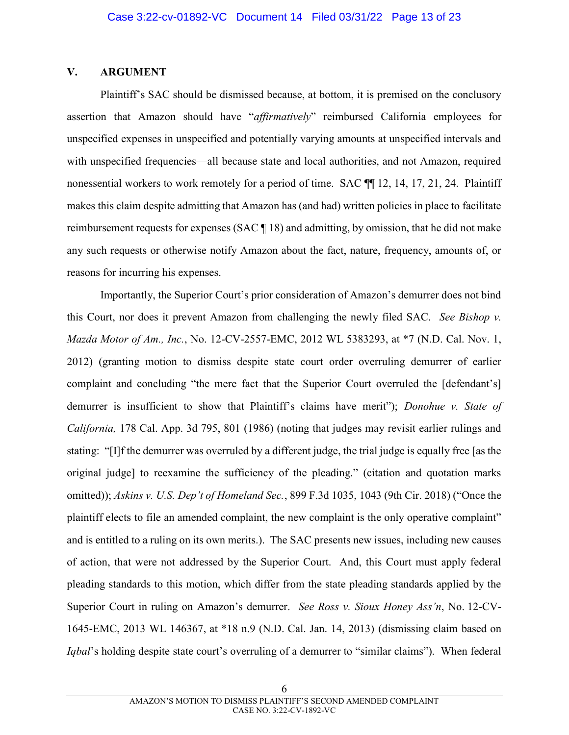## V. ARGUMENT

Plaintiff's SAC should be dismissed because, at bottom, it is premised on the conclusory assertion that Amazon should have "affirmatively" reimbursed California employees for unspecified expenses in unspecified and potentially varying amounts at unspecified intervals and with unspecified frequencies—all because state and local authorities, and not Amazon, required nonessential workers to work remotely for a period of time. SAC ¶¶ 12, 14, 17, 21, 24. Plaintiff makes this claim despite admitting that Amazon has (and had) written policies in place to facilitate reimbursement requests for expenses (SAC ¶ 18) and admitting, by omission, that he did not make any such requests or otherwise notify Amazon about the fact, nature, frequency, amounts of, or reasons for incurring his expenses.

Importantly, the Superior Court's prior consideration of Amazon's demurrer does not bind this Court, nor does it prevent Amazon from challenging the newly filed SAC. See Bishop  $v$ . Mazda Motor of Am., Inc., No. 12-CV-2557-EMC, 2012 WL 5383293, at \*7 (N.D. Cal. Nov. 1, 2012) (granting motion to dismiss despite state court order overruling demurrer of earlier complaint and concluding "the mere fact that the Superior Court overruled the [defendant's] demurrer is insufficient to show that Plaintiff's claims have merit"); Donohue v. State of California, 178 Cal. App. 3d 795, 801 (1986) (noting that judges may revisit earlier rulings and stating: "[I]f the demurrer was overruled by a different judge, the trial judge is equally free [as the original judge] to reexamine the sufficiency of the pleading." (citation and quotation marks omitted)); Askins v. U.S. Dep't of Homeland Sec., 899 F.3d 1035, 1043 (9th Cir. 2018) ("Once the plaintiff elects to file an amended complaint, the new complaint is the only operative complaint" and is entitled to a ruling on its own merits.). The SAC presents new issues, including new causes of action, that were not addressed by the Superior Court. And, this Court must apply federal pleading standards to this motion, which differ from the state pleading standards applied by the Superior Court in ruling on Amazon's demurrer. See Ross v. Sioux Honey Ass'n, No. 12-CV-1645-EMC, 2013 WL 146367, at \*18 n.9 (N.D. Cal. Jan. 14, 2013) (dismissing claim based on Iqbal's holding despite state court's overruling of a demurrer to "similar claims"). When federal

6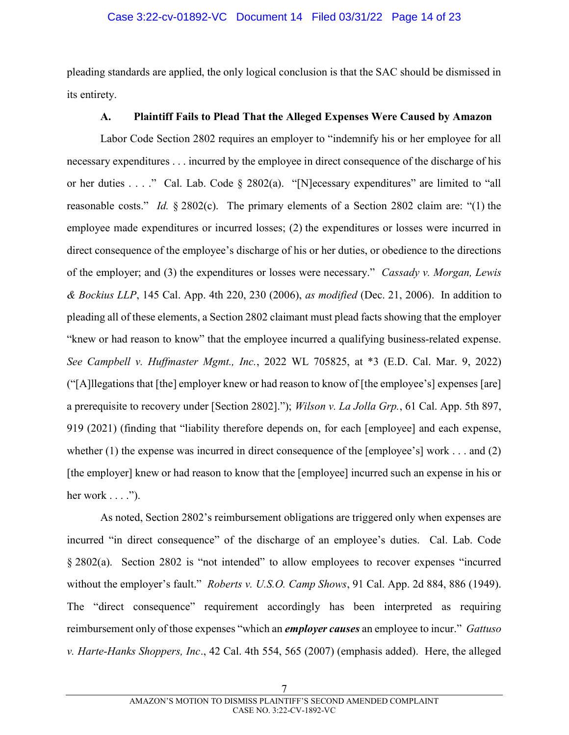pleading standards are applied, the only logical conclusion is that the SAC should be dismissed in its entirety.

## A. Plaintiff Fails to Plead That the Alleged Expenses Were Caused by Amazon

Labor Code Section 2802 requires an employer to "indemnify his or her employee for all necessary expenditures . . . incurred by the employee in direct consequence of the discharge of his or her duties . . . ." Cal. Lab. Code § 2802(a). "[N]ecessary expenditures" are limited to "all reasonable costs." Id.  $\S 2802(c)$ . The primary elements of a Section 2802 claim are: "(1) the employee made expenditures or incurred losses; (2) the expenditures or losses were incurred in direct consequence of the employee's discharge of his or her duties, or obedience to the directions of the employer; and (3) the expenditures or losses were necessary." Cassady v. Morgan, Lewis  $\&$  Bockius LLP, 145 Cal. App. 4th 220, 230 (2006), as modified (Dec. 21, 2006). In addition to pleading all of these elements, a Section 2802 claimant must plead facts showing that the employer "knew or had reason to know" that the employee incurred a qualifying business-related expense. See Campbell v. Huffmaster Mgmt., Inc., 2022 WL 705825, at \*3 (E.D. Cal. Mar. 9, 2022) ("[A]llegations that [the] employer knew or had reason to know of [the employee's] expenses [are] a prerequisite to recovery under [Section 2802]."); Wilson v. La Jolla Grp., 61 Cal. App. 5th 897, 919 (2021) (finding that "liability therefore depends on, for each [employee] and each expense, whether (1) the expense was incurred in direct consequence of the [employee's] work . . . and (2) [the employer] knew or had reason to know that the [employee] incurred such an expense in his or her work  $\dots$ .").

As noted, Section 2802's reimbursement obligations are triggered only when expenses are incurred "in direct consequence" of the discharge of an employee's duties. Cal. Lab. Code § 2802(a). Section 2802 is "not intended" to allow employees to recover expenses "incurred without the employer's fault." *Roberts v. U.S.O. Camp Shows*, 91 Cal. App. 2d 884, 886 (1949). The "direct consequence" requirement accordingly has been interpreted as requiring reimbursement only of those expenses "which an *employer causes* an employee to incur." Gattuso v. Harte-Hanks Shoppers, Inc., 42 Cal. 4th 554, 565 (2007) (emphasis added). Here, the alleged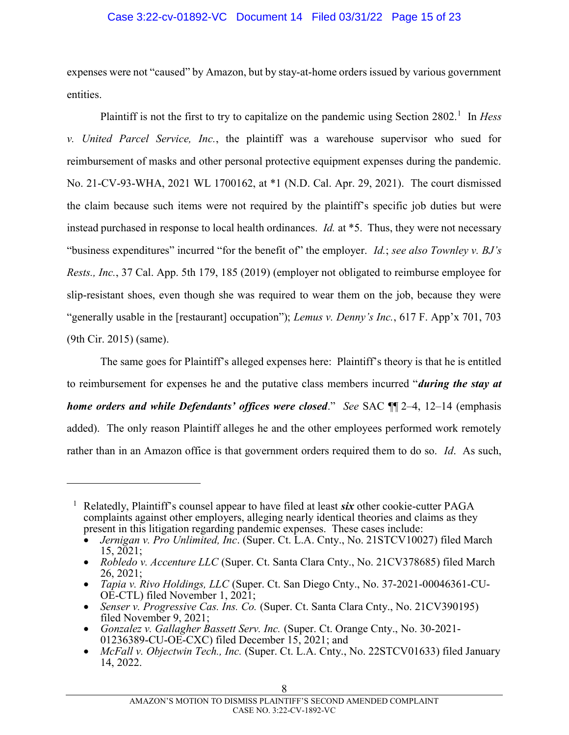## Case 3:22-cv-01892-VC Document 14 Filed 03/31/22 Page 15 of 23

expenses were not "caused" by Amazon, but by stay-at-home orders issued by various government entities.

Plaintiff is not the first to try to capitalize on the pandemic using Section 2802.<sup>1</sup> In Hess v. United Parcel Service, Inc., the plaintiff was a warehouse supervisor who sued for reimbursement of masks and other personal protective equipment expenses during the pandemic. No. 21-CV-93-WHA, 2021 WL 1700162, at \*1 (N.D. Cal. Apr. 29, 2021). The court dismissed the claim because such items were not required by the plaintiff's specific job duties but were instead purchased in response to local health ordinances. Id. at \*5. Thus, they were not necessary "business expenditures" incurred "for the benefit of" the employer. Id.; see also Townley v.  $BJ's$ Rests., Inc., 37 Cal. App. 5th 179, 185 (2019) (employer not obligated to reimburse employee for slip-resistant shoes, even though she was required to wear them on the job, because they were "generally usable in the [restaurant] occupation"); Lemus v. Denny's Inc., 617 F. App'x 701, 703 (9th Cir. 2015) (same).

The same goes for Plaintiff's alleged expenses here: Plaintiff's theory is that he is entitled to reimbursement for expenses he and the putative class members incurred "*during the stay at* home orders and while Defendants' offices were closed." See SAC  $\P$  2–4, 12–14 (emphasis added). The only reason Plaintiff alleges he and the other employees performed work remotely rather than in an Amazon office is that government orders required them to do so. Id. As such,

 $\overline{a}$ 

<sup>&</sup>lt;sup>1</sup> Relatedly, Plaintiff's counsel appear to have filed at least six other cookie-cutter PAGA complaints against other employers, alleging nearly identical theories and claims as they present in this litigation regarding pandemic expenses. These cases include:

Jernigan v. Pro Unlimited, Inc. (Super. Ct. L.A. Cnty., No. 21STCV10027) filed March 15, 2021;

<sup>•</sup> Robledo v. Accenture LLC (Super. Ct. Santa Clara Cnty., No. 21CV378685) filed March 26, 2021;

<sup>•</sup> Tapia v. Rivo Holdings, LLC (Super. Ct. San Diego Cnty., No. 37-2021-00046361-CU-OE-CTL) filed November 1, 2021;

<sup>•</sup> Senser v. Progressive Cas. Ins. Co. (Super. Ct. Santa Clara Cnty., No. 21CV390195) filed November 9, 2021;

Gonzalez v. Gallagher Bassett Serv. Inc. (Super. Ct. Orange Cnty., No. 30-2021- 01236389-CU-OE-CXC) filed December 15, 2021; and

<sup>•</sup> McFall v. Objectwin Tech., Inc. (Super. Ct. L.A. Cnty., No. 22STCV01633) filed January 14, 2022.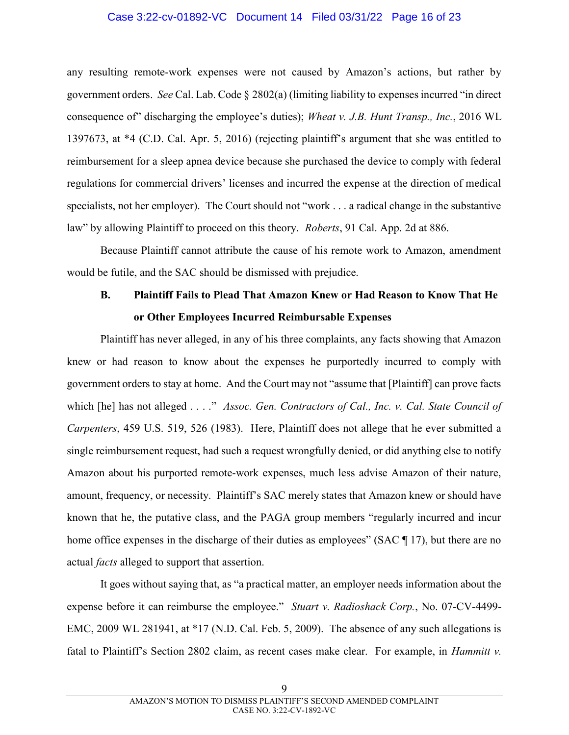#### Case 3:22-cv-01892-VC Document 14 Filed 03/31/22 Page 16 of 23

any resulting remote-work expenses were not caused by Amazon's actions, but rather by government orders. See Cal. Lab. Code § 2802(a) (limiting liability to expenses incurred "in direct consequence of" discharging the employee's duties); Wheat v. J.B. Hunt Transp., Inc., 2016 WL 1397673, at \*4 (C.D. Cal. Apr. 5, 2016) (rejecting plaintiff's argument that she was entitled to reimbursement for a sleep apnea device because she purchased the device to comply with federal regulations for commercial drivers' licenses and incurred the expense at the direction of medical specialists, not her employer). The Court should not "work . . . a radical change in the substantive law" by allowing Plaintiff to proceed on this theory. *Roberts*, 91 Cal. App. 2d at 886.

Because Plaintiff cannot attribute the cause of his remote work to Amazon, amendment would be futile, and the SAC should be dismissed with prejudice.

# B. Plaintiff Fails to Plead That Amazon Knew or Had Reason to Know That He or Other Employees Incurred Reimbursable Expenses

Plaintiff has never alleged, in any of his three complaints, any facts showing that Amazon knew or had reason to know about the expenses he purportedly incurred to comply with government orders to stay at home. And the Court may not "assume that [Plaintiff] can prove facts which [he] has not alleged . . . ." Assoc. Gen. Contractors of Cal., Inc. v. Cal. State Council of Carpenters, 459 U.S. 519, 526 (1983). Here, Plaintiff does not allege that he ever submitted a single reimbursement request, had such a request wrongfully denied, or did anything else to notify Amazon about his purported remote-work expenses, much less advise Amazon of their nature, amount, frequency, or necessity. Plaintiff's SAC merely states that Amazon knew or should have known that he, the putative class, and the PAGA group members "regularly incurred and incur home office expenses in the discharge of their duties as employees" (SAC ¶ 17), but there are no actual facts alleged to support that assertion.

It goes without saying that, as "a practical matter, an employer needs information about the expense before it can reimburse the employee." Stuart v. Radioshack Corp., No. 07-CV-4499-EMC, 2009 WL 281941, at \*17 (N.D. Cal. Feb. 5, 2009). The absence of any such allegations is fatal to Plaintiff's Section 2802 claim, as recent cases make clear. For example, in *Hammitt v*.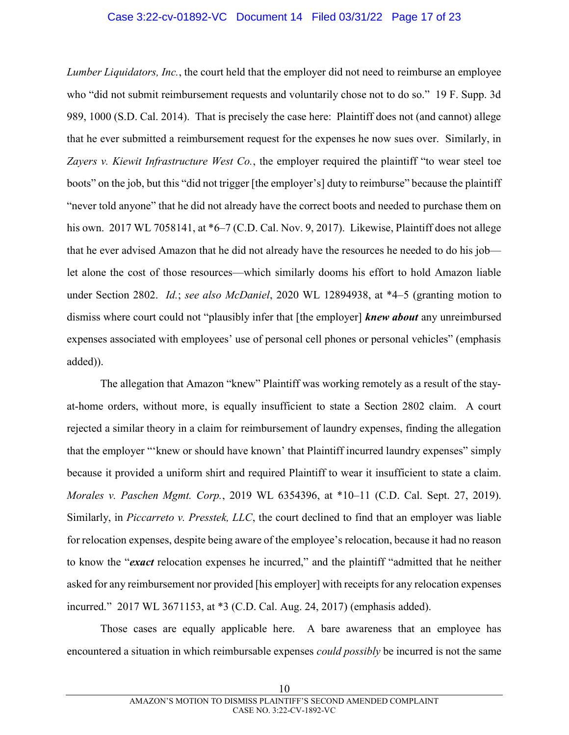## Case 3:22-cv-01892-VC Document 14 Filed 03/31/22 Page 17 of 23

Lumber Liquidators, Inc., the court held that the employer did not need to reimburse an employee who "did not submit reimbursement requests and voluntarily chose not to do so." 19 F. Supp. 3d 989, 1000 (S.D. Cal. 2014). That is precisely the case here: Plaintiff does not (and cannot) allege that he ever submitted a reimbursement request for the expenses he now sues over. Similarly, in Zayers v. Kiewit Infrastructure West Co., the employer required the plaintiff "to wear steel toe boots" on the job, but this "did not trigger [the employer's] duty to reimburse" because the plaintiff "never told anyone" that he did not already have the correct boots and needed to purchase them on his own. 2017 WL 7058141, at \*6–7 (C.D. Cal. Nov. 9, 2017). Likewise, Plaintiff does not allege that he ever advised Amazon that he did not already have the resources he needed to do his job let alone the cost of those resources—which similarly dooms his effort to hold Amazon liable under Section 2802. *Id.*; see also McDaniel, 2020 WL 12894938, at \*4–5 (granting motion to dismiss where court could not "plausibly infer that [the employer] **knew about** any unreimbursed expenses associated with employees' use of personal cell phones or personal vehicles" (emphasis added)).

The allegation that Amazon "knew" Plaintiff was working remotely as a result of the stayat-home orders, without more, is equally insufficient to state a Section 2802 claim. A court rejected a similar theory in a claim for reimbursement of laundry expenses, finding the allegation that the employer "'knew or should have known' that Plaintiff incurred laundry expenses" simply because it provided a uniform shirt and required Plaintiff to wear it insufficient to state a claim. Morales v. Paschen Mgmt. Corp., 2019 WL 6354396, at \*10–11 (C.D. Cal. Sept. 27, 2019). Similarly, in Piccarreto v. Presstek, LLC, the court declined to find that an employer was liable for relocation expenses, despite being aware of the employee's relocation, because it had no reason to know the "*exact* relocation expenses he incurred," and the plaintiff "admitted that he neither asked for any reimbursement nor provided [his employer] with receipts for any relocation expenses incurred." 2017 WL 3671153, at \*3 (C.D. Cal. Aug. 24, 2017) (emphasis added).

Those cases are equally applicable here. A bare awareness that an employee has encountered a situation in which reimbursable expenses could possibly be incurred is not the same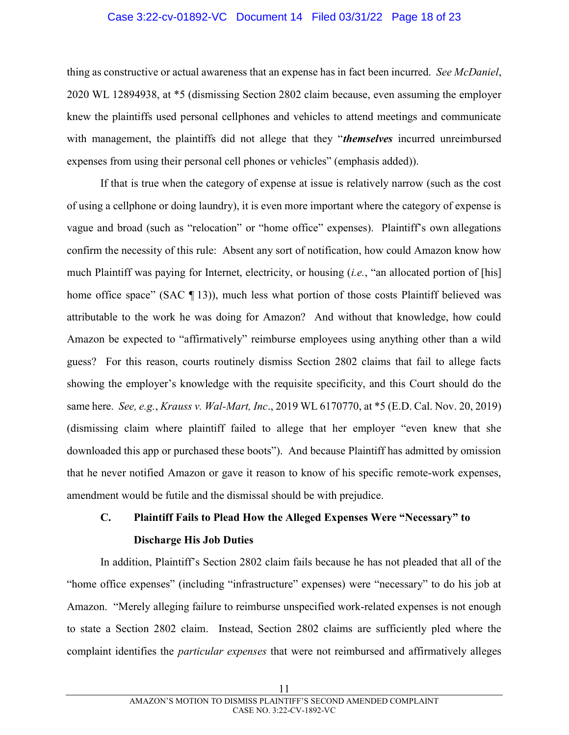#### Case 3:22-cv-01892-VC Document 14 Filed 03/31/22 Page 18 of 23

thing as constructive or actual awareness that an expense has in fact been incurred. See McDaniel, 2020 WL 12894938, at \*5 (dismissing Section 2802 claim because, even assuming the employer knew the plaintiffs used personal cellphones and vehicles to attend meetings and communicate with management, the plaintiffs did not allege that they "*themselves* incurred unreimbursed expenses from using their personal cell phones or vehicles" (emphasis added)).

If that is true when the category of expense at issue is relatively narrow (such as the cost of using a cellphone or doing laundry), it is even more important where the category of expense is vague and broad (such as "relocation" or "home office" expenses). Plaintiff's own allegations confirm the necessity of this rule: Absent any sort of notification, how could Amazon know how much Plaintiff was paying for Internet, electricity, or housing (*i.e.*, "an allocated portion of [his] home office space" (SAC ¶ 13)), much less what portion of those costs Plaintiff believed was attributable to the work he was doing for Amazon? And without that knowledge, how could Amazon be expected to "affirmatively" reimburse employees using anything other than a wild guess? For this reason, courts routinely dismiss Section 2802 claims that fail to allege facts showing the employer's knowledge with the requisite specificity, and this Court should do the same here. See, e.g., Krauss v. Wal-Mart, Inc., 2019 WL 6170770, at \*5 (E.D. Cal. Nov. 20, 2019) (dismissing claim where plaintiff failed to allege that her employer "even knew that she downloaded this app or purchased these boots"). And because Plaintiff has admitted by omission that he never notified Amazon or gave it reason to know of his specific remote-work expenses, amendment would be futile and the dismissal should be with prejudice.

# C. Plaintiff Fails to Plead How the Alleged Expenses Were "Necessary" to Discharge His Job Duties

In addition, Plaintiff's Section 2802 claim fails because he has not pleaded that all of the "home office expenses" (including "infrastructure" expenses) were "necessary" to do his job at Amazon. "Merely alleging failure to reimburse unspecified work-related expenses is not enough to state a Section 2802 claim. Instead, Section 2802 claims are sufficiently pled where the complaint identifies the *particular expenses* that were not reimbursed and affirmatively alleges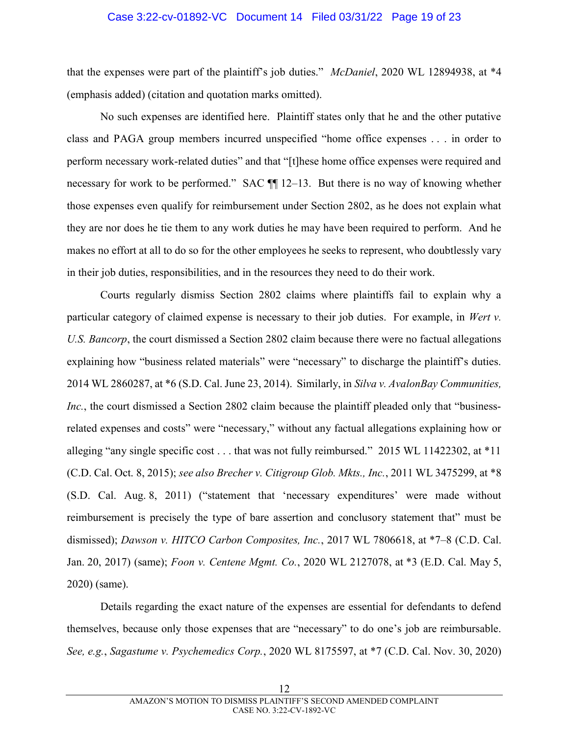#### Case 3:22-cv-01892-VC Document 14 Filed 03/31/22 Page 19 of 23

that the expenses were part of the plaintiff's job duties." McDaniel, 2020 WL 12894938, at \*4 (emphasis added) (citation and quotation marks omitted).

No such expenses are identified here. Plaintiff states only that he and the other putative class and PAGA group members incurred unspecified "home office expenses . . . in order to perform necessary work-related duties" and that "[t]hese home office expenses were required and necessary for work to be performed." SAC ¶¶ 12–13. But there is no way of knowing whether those expenses even qualify for reimbursement under Section 2802, as he does not explain what they are nor does he tie them to any work duties he may have been required to perform. And he makes no effort at all to do so for the other employees he seeks to represent, who doubtlessly vary in their job duties, responsibilities, and in the resources they need to do their work.

Courts regularly dismiss Section 2802 claims where plaintiffs fail to explain why a particular category of claimed expense is necessary to their job duties. For example, in Wert v. U.S. Bancorp, the court dismissed a Section 2802 claim because there were no factual allegations explaining how "business related materials" were "necessary" to discharge the plaintiff's duties. 2014 WL 2860287, at \*6 (S.D. Cal. June 23, 2014). Similarly, in Silva v. AvalonBay Communities, Inc., the court dismissed a Section 2802 claim because the plaintiff pleaded only that "businessrelated expenses and costs" were "necessary," without any factual allegations explaining how or alleging "any single specific cost . . . that was not fully reimbursed." 2015 WL 11422302, at \*11 (C.D. Cal. Oct. 8, 2015); see also Brecher v. Citigroup Glob. Mkts., Inc., 2011 WL 3475299, at \*8 (S.D. Cal. Aug. 8, 2011) ("statement that 'necessary expenditures' were made without reimbursement is precisely the type of bare assertion and conclusory statement that" must be dismissed); Dawson v. HITCO Carbon Composites, Inc., 2017 WL 7806618, at \*7-8 (C.D. Cal. Jan. 20, 2017) (same); Foon v. Centene Mgmt. Co., 2020 WL 2127078, at \*3 (E.D. Cal. May 5, 2020) (same).

Details regarding the exact nature of the expenses are essential for defendants to defend themselves, because only those expenses that are "necessary" to do one's job are reimbursable. See, e.g., Sagastume v. Psychemedics Corp., 2020 WL 8175597, at \*7 (C.D. Cal. Nov. 30, 2020)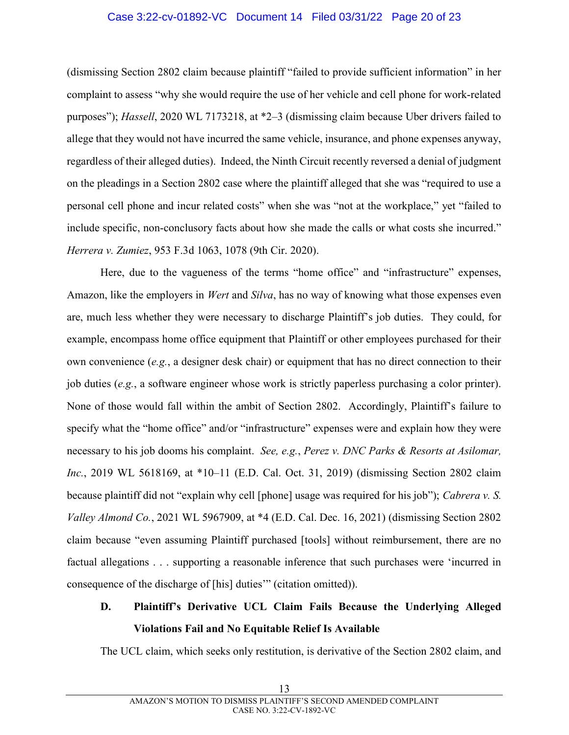## Case 3:22-cv-01892-VC Document 14 Filed 03/31/22 Page 20 of 23

(dismissing Section 2802 claim because plaintiff "failed to provide sufficient information" in her complaint to assess "why she would require the use of her vehicle and cell phone for work-related purposes"); Hassell, 2020 WL 7173218, at \*2–3 (dismissing claim because Uber drivers failed to allege that they would not have incurred the same vehicle, insurance, and phone expenses anyway, regardless of their alleged duties). Indeed, the Ninth Circuit recently reversed a denial of judgment on the pleadings in a Section 2802 case where the plaintiff alleged that she was "required to use a personal cell phone and incur related costs" when she was "not at the workplace," yet "failed to include specific, non-conclusory facts about how she made the calls or what costs she incurred." Herrera v. Zumiez, 953 F.3d 1063, 1078 (9th Cir. 2020).

Here, due to the vagueness of the terms "home office" and "infrastructure" expenses, Amazon, like the employers in *Wert* and *Silva*, has no way of knowing what those expenses even are, much less whether they were necessary to discharge Plaintiff's job duties. They could, for example, encompass home office equipment that Plaintiff or other employees purchased for their own convenience (e.g., a designer desk chair) or equipment that has no direct connection to their job duties (e.g., a software engineer whose work is strictly paperless purchasing a color printer). None of those would fall within the ambit of Section 2802. Accordingly, Plaintiff's failure to specify what the "home office" and/or "infrastructure" expenses were and explain how they were necessary to his job dooms his complaint. See, e.g., Perez v. DNC Parks & Resorts at Asilomar, Inc., 2019 WL 5618169, at \*10–11 (E.D. Cal. Oct. 31, 2019) (dismissing Section 2802 claim because plaintiff did not "explain why cell [phone] usage was required for his job"); Cabrera v. S. Valley Almond Co., 2021 WL 5967909, at \*4 (E.D. Cal. Dec. 16, 2021) (dismissing Section 2802 claim because "even assuming Plaintiff purchased [tools] without reimbursement, there are no factual allegations . . . supporting a reasonable inference that such purchases were 'incurred in consequence of the discharge of [his] duties'" (citation omitted)).

# D. Plaintiff's Derivative UCL Claim Fails Because the Underlying Alleged Violations Fail and No Equitable Relief Is Available

The UCL claim, which seeks only restitution, is derivative of the Section 2802 claim, and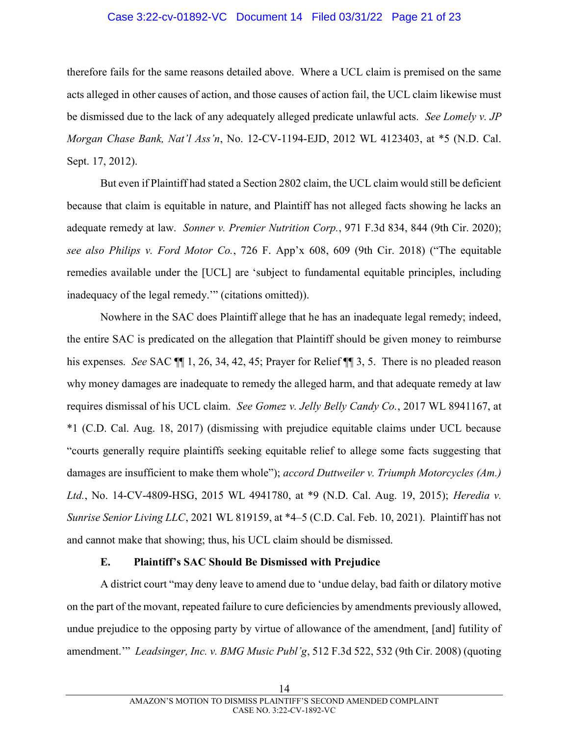## Case 3:22-cv-01892-VC Document 14 Filed 03/31/22 Page 21 of 23

therefore fails for the same reasons detailed above. Where a UCL claim is premised on the same acts alleged in other causes of action, and those causes of action fail, the UCL claim likewise must be dismissed due to the lack of any adequately alleged predicate unlawful acts. See Lomely v. JP Morgan Chase Bank, Nat'l Ass'n, No. 12-CV-1194-EJD, 2012 WL 4123403, at \*5 (N.D. Cal. Sept. 17, 2012).

But even if Plaintiff had stated a Section 2802 claim, the UCL claim would still be deficient because that claim is equitable in nature, and Plaintiff has not alleged facts showing he lacks an adequate remedy at law. Sonner v. Premier Nutrition Corp., 971 F.3d 834, 844 (9th Cir. 2020); see also Philips v. Ford Motor Co., 726 F. App'x 608, 609 (9th Cir. 2018) ("The equitable remedies available under the [UCL] are 'subject to fundamental equitable principles, including inadequacy of the legal remedy.'" (citations omitted)).

Nowhere in the SAC does Plaintiff allege that he has an inadequate legal remedy; indeed, the entire SAC is predicated on the allegation that Plaintiff should be given money to reimburse his expenses. See SAC  $\P$  1, 26, 34, 42, 45; Prayer for Relief  $\P$  3, 5. There is no pleaded reason why money damages are inadequate to remedy the alleged harm, and that adequate remedy at law requires dismissal of his UCL claim. See Gomez v. Jelly Belly Candy Co., 2017 WL 8941167, at \*1 (C.D. Cal. Aug. 18, 2017) (dismissing with prejudice equitable claims under UCL because "courts generally require plaintiffs seeking equitable relief to allege some facts suggesting that damages are insufficient to make them whole"); accord Duttweiler v. Triumph Motorcycles (Am.) Ltd., No. 14-CV-4809-HSG, 2015 WL 4941780, at \*9 (N.D. Cal. Aug. 19, 2015); *Heredia v.* Sunrise Senior Living LLC, 2021 WL 819159, at \*4–5 (C.D. Cal. Feb. 10, 2021). Plaintiff has not and cannot make that showing; thus, his UCL claim should be dismissed.

## E. Plaintiff's SAC Should Be Dismissed with Prejudice

A district court "may deny leave to amend due to 'undue delay, bad faith or dilatory motive on the part of the movant, repeated failure to cure deficiencies by amendments previously allowed, undue prejudice to the opposing party by virtue of allowance of the amendment, [and] futility of amendment." Leadsinger, Inc. v. BMG Music Publ'g, 512 F.3d 522, 532 (9th Cir. 2008) (quoting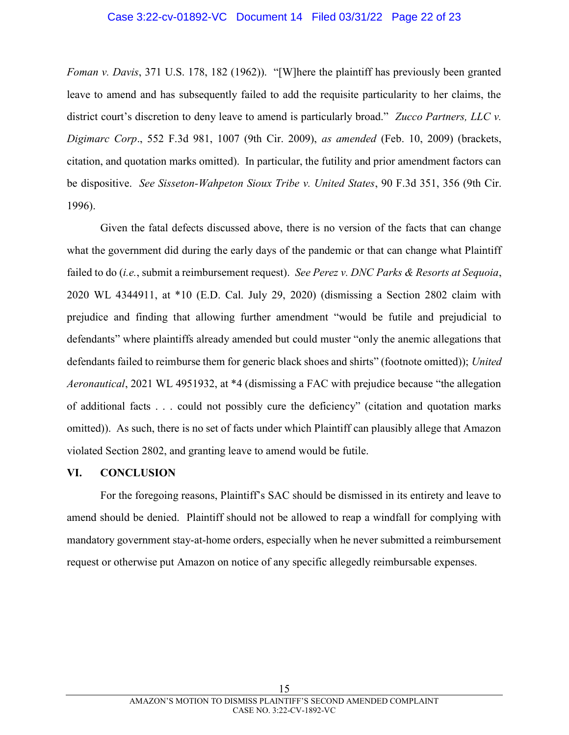#### Case 3:22-cv-01892-VC Document 14 Filed 03/31/22 Page 22 of 23

Foman v. Davis, 371 U.S. 178, 182 (1962)). "[W]here the plaintiff has previously been granted leave to amend and has subsequently failed to add the requisite particularity to her claims, the district court's discretion to deny leave to amend is particularly broad." Zucco Partners, LLC v. Digimarc Corp., 552 F.3d 981, 1007 (9th Cir. 2009), as amended (Feb. 10, 2009) (brackets, citation, and quotation marks omitted). In particular, the futility and prior amendment factors can be dispositive. See Sisseton-Wahpeton Sioux Tribe v. United States, 90 F.3d 351, 356 (9th Cir. 1996).

Given the fatal defects discussed above, there is no version of the facts that can change what the government did during the early days of the pandemic or that can change what Plaintiff failed to do (*i.e.*, submit a reimbursement request). See Perez v. DNC Parks & Resorts at Sequoia, 2020 WL 4344911, at \*10 (E.D. Cal. July 29, 2020) (dismissing a Section 2802 claim with prejudice and finding that allowing further amendment "would be futile and prejudicial to defendants" where plaintiffs already amended but could muster "only the anemic allegations that defendants failed to reimburse them for generic black shoes and shirts" (footnote omitted)); United Aeronautical, 2021 WL 4951932, at \*4 (dismissing a FAC with prejudice because "the allegation of additional facts . . . could not possibly cure the deficiency" (citation and quotation marks omitted)). As such, there is no set of facts under which Plaintiff can plausibly allege that Amazon violated Section 2802, and granting leave to amend would be futile.

#### VI. CONCLUSION

For the foregoing reasons, Plaintiff's SAC should be dismissed in its entirety and leave to amend should be denied. Plaintiff should not be allowed to reap a windfall for complying with mandatory government stay-at-home orders, especially when he never submitted a reimbursement request or otherwise put Amazon on notice of any specific allegedly reimbursable expenses.